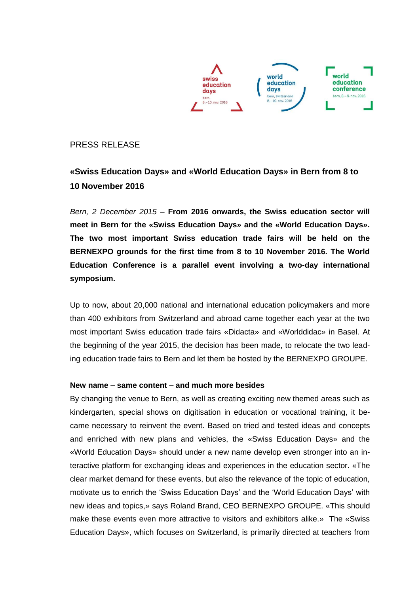

## PRESS RELEASE

# **«Swiss Education Days» and «World Education Days» in Bern from 8 to 10 November 2016**

*Bern, 2 December 2015 –* **From 2016 onwards, the Swiss education sector will meet in Bern for the «Swiss Education Days» and the «World Education Days». The two most important Swiss education trade fairs will be held on the BERNEXPO grounds for the first time from 8 to 10 November 2016. The World Education Conference is a parallel event involving a two-day international symposium.** 

Up to now, about 20,000 national and international education policymakers and more than 400 exhibitors from Switzerland and abroad came together each year at the two most important Swiss education trade fairs «Didacta» and «Worlddidac» in Basel. At the beginning of the year 2015, the decision has been made, to relocate the two leading education trade fairs to Bern and let them be hosted by the BERNEXPO GROUPE.

#### **New name – same content – and much more besides**

By changing the venue to Bern, as well as creating exciting new themed areas such as kindergarten, special shows on digitisation in education or vocational training, it became necessary to reinvent the event. Based on tried and tested ideas and concepts and enriched with new plans and vehicles, the «Swiss Education Days» and the «World Education Days» should under a new name develop even stronger into an interactive platform for exchanging ideas and experiences in the education sector. «The clear market demand for these events, but also the relevance of the topic of education, motivate us to enrich the 'Swiss Education Days' and the 'World Education Days' with new ideas and topics,» says Roland Brand, CEO BERNEXPO GROUPE. «This should make these events even more attractive to visitors and exhibitors alike.» The «Swiss Education Days», which focuses on Switzerland, is primarily directed at teachers from